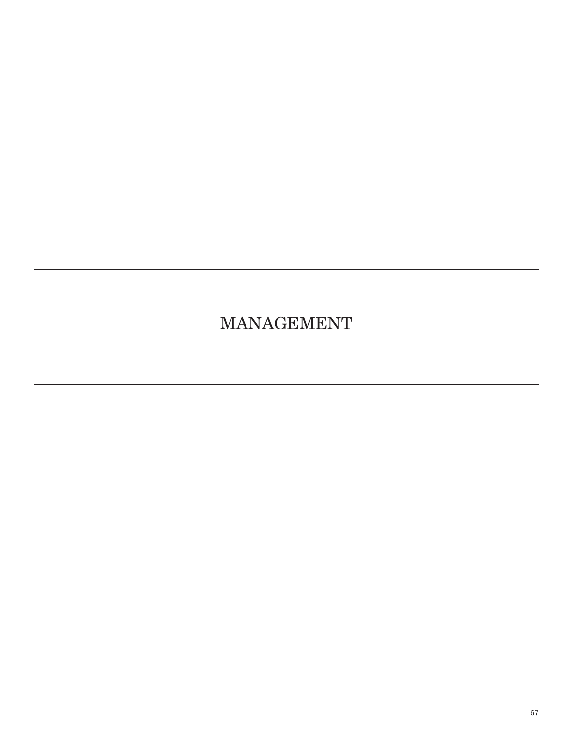# MANAGEMENT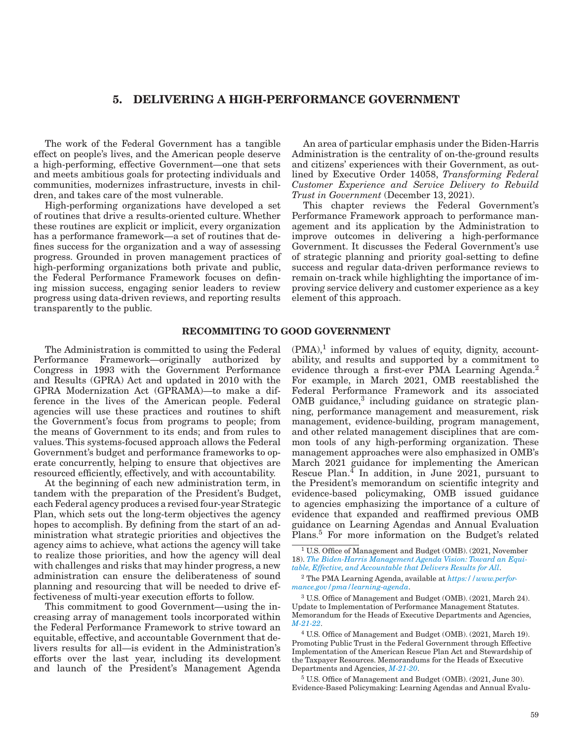# 5. DELIVERING A HIGH-PERFORMANCE GOVERNMENT

The work of the Federal Government has a tangible effect on people's lives, and the American people deserve a high-performing, effective Government—one that sets and meets ambitious goals for protecting individuals and communities, modernizes infrastructure, invests in children, and takes care of the most vulnerable.

High-performing organizations have developed a set of routines that drive a results-oriented culture. Whether these routines are explicit or implicit, every organization has a performance framework—a set of routines that defines success for the organization and a way of assessing progress. Grounded in proven management practices of high-performing organizations both private and public, the Federal Performance Framework focuses on defining mission success, engaging senior leaders to review progress using data-driven reviews, and reporting results transparently to the public.

An area of particular emphasis under the Biden-Harris Administration is the centrality of on-the-ground results and citizens' experiences with their Government, as outlined by Executive Order 14058, *Transforming Federal Customer Experience and Service Delivery to Rebuild Trust in Government* (December 13, 2021).

This chapter reviews the Federal Government's Performance Framework approach to performance management and its application by the Administration to improve outcomes in delivering a high-performance Government. It discusses the Federal Government's use of strategic planning and priority goal-setting to define success and regular data-driven performance reviews to remain on-track while highlighting the importance of improving service delivery and customer experience as a key element of this approach.

## RECOMMITING TO GOOD GOVERNMENT

The Administration is committed to using the Federal Performance Framework—originally authorized by Congress in 1993 with the Government Performance and Results (GPRA) Act and updated in 2010 with the GPRA Modernization Act (GPRAMA)—to make a difference in the lives of the American people. Federal agencies will use these practices and routines to shift the Government's focus from programs to people; from the means of Government to its ends; and from rules to values. This systems-focused approach allows the Federal Government's budget and performance frameworks to operate concurrently, helping to ensure that objectives are resourced efficiently, effectively, and with accountability.

At the beginning of each new administration term, in tandem with the preparation of the President's Budget, each Federal agency produces a revised four-year Strategic Plan, which sets out the long-term objectives the agency hopes to accomplish. By defining from the start of an administration what strategic priorities and objectives the agency aims to achieve, what actions the agency will take to realize those priorities, and how the agency will deal with challenges and risks that may hinder progress, a new administration can ensure the deliberateness of sound planning and resourcing that will be needed to drive effectiveness of multi-year execution efforts to follow.

This commitment to good Government—using the increasing array of management tools incorporated within the Federal Performance Framework to strive toward an equitable, effective, and accountable Government that delivers results for all—is evident in the Administration's efforts over the last year, including its development and launch of the President's Management Agenda

 $(PMA)$ ,<sup>1</sup> informed by values of equity, dignity, accountability, and results and supported by a commitment to evidence through a first-ever PMA Learning Agenda.<sup>2</sup> For example, in March 2021, OMB reestablished the Federal Performance Framework and its associated OMB guidance,<sup>3</sup> including guidance on strategic planning, performance management and measurement, risk management, evidence-building, program management, and other related management disciplines that are common tools of any high-performing organization. These management approaches were also emphasized in OMB's March 2021 guidance for implementing the American Rescue Plan. $^{4}$  In addition, in June 2021, pursuant to the President's memorandum on scientific integrity and evidence-based policymaking, OMB issued guidance to agencies emphasizing the importance of a culture of evidence that expanded and reaffirmed previous OMB guidance on Learning Agendas and Annual Evaluation Plans.<sup>5</sup> For more information on the Budget's related

<sup>2</sup> The PMA Learning Agenda, available at *[https://www.perfor](https://www.performance.gov/pma/learning-agenda/)[mance.gov/pma/learning-agenda](https://www.performance.gov/pma/learning-agenda/)*.

<sup>3</sup> U.S. Office of Management and Budget (OMB). (2021, March 24). Update to Implementation of Performance Management Statutes. Memorandum for the Heads of Executive Departments and Agencies, *[M-21-22](https://www.whitehouse.gov/wp-content/uploads/2021/03/M-21-22.pdf)*.

<sup>4</sup> U.S. Office of Management and Budget (OMB). (2021, March 19). Promoting Public Trust in the Federal Government through Effective Implementation of the American Rescue Plan Act and Stewardship of the Taxpayer Resources. Memorandums for the Heads of Executive Departments and Agencies, *[M-21-20](https://www.whitehouse.gov/wp-content/uploads/2021/03/M_21_20.pdf)*.

<sup>5</sup> U.S. Office of Management and Budget (OMB). (2021, June 30). Evidence-Based Policymaking: Learning Agendas and Annual Evalu-

<sup>&</sup>lt;sup>1</sup> U.S. Office of Management and Budget (OMB). (2021, November 18). *[The Biden-Harris Management Agenda Vision: Toward an Equi](https://assets.performance.gov/PMA/Biden-Harris_Management_Agenda_Vision_11-18.pdf)[table, Effective, and Accountable that Delivers Results for All](https://assets.performance.gov/PMA/Biden-Harris_Management_Agenda_Vision_11-18.pdf)*.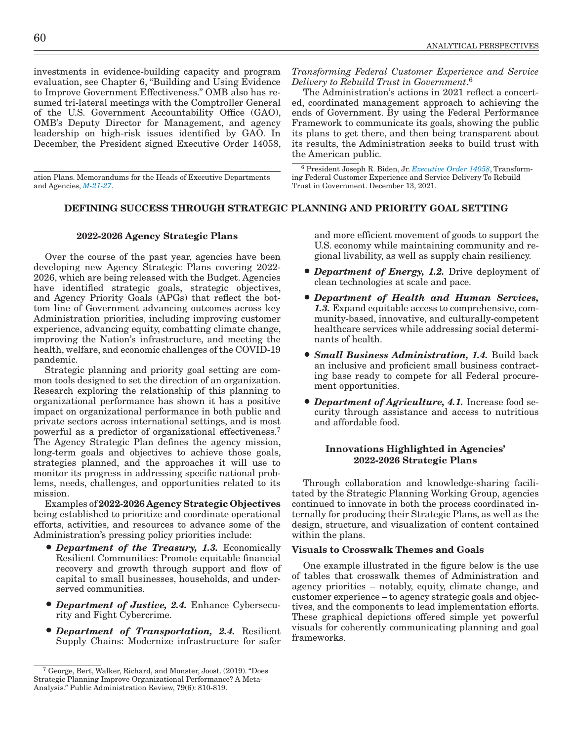investments in evidence-building capacity and program evaluation, see Chapter 6, "Building and Using Evidence to Improve Government Effectiveness." OMB also has resumed tri-lateral meetings with the Comptroller General of the U.S. Government Accountability Office (GAO), OMB's Deputy Director for Management, and agency leadership on high-risk issues identified by GAO. In December, the President signed Executive Order 14058,

ation Plans. Memorandums for the Heads of Executive Departments and Agencies, *[M-21-27](https://www.whitehouse.gov/wp-content/uploads/2021/06/M-21-27.pdf)*.

*Transforming Federal Customer Experience and Service Delivery to Rebuild Trust in Government*. 6

The Administration's actions in 2021 reflect a concerted, coordinated management approach to achieving the ends of Government. By using the Federal Performance Framework to communicate its goals, showing the public its plans to get there, and then being transparent about its results, the Administration seeks to build trust with the American public.

<sup>6</sup> President Joseph R. Biden, Jr. *[Executive Order 14058](https://www.whitehouse.gov/briefing-room/presidential-actions/2021/12/13/executive-order-on-transforming-federal-customer-experience-and-service-delivery-to-rebuild-trust-in-government/)*, Transforming Federal Customer Experience and Service Delivery To Rebuild Trust in Government. December 13, 2021.

# DEFINING SUCCESS THROUGH STRATEGIC PLANNING AND PRIORITY GOAL SETTING

#### 2022-2026 Agency Strategic Plans

Over the course of the past year, agencies have been developing new Agency Strategic Plans covering 2022- 2026, which are being released with the Budget. Agencies have identified strategic goals, strategic objectives, and Agency Priority Goals (APGs) that reflect the bottom line of Government advancing outcomes across key Administration priorities, including improving customer experience, advancing equity, combatting climate change, improving the Nation's infrastructure, and meeting the health, welfare, and economic challenges of the COVID-19 pandemic.

Strategic planning and priority goal setting are common tools designed to set the direction of an organization. Research exploring the relationship of this planning to organizational performance has shown it has a positive impact on organizational performance in both public and private sectors across international settings, and is most powerful as a predictor of organizational effectiveness.7 The Agency Strategic Plan defines the agency mission, long-term goals and objectives to achieve those goals, strategies planned, and the approaches it will use to monitor its progress in addressing specific national problems, needs, challenges, and opportunities related to its mission.

Examples of 2022-2026 Agency Strategic Objectives being established to prioritize and coordinate operational efforts, activities, and resources to advance some of the Administration's pressing policy priorities include:

- *Department of the Treasury, 1.3.* Economically Resilient Communities: Promote equitable financial recovery and growth through support and flow of capital to small businesses, households, and underserved communities.
- *Department of Justice, 2.4.* Enhance Cybersecurity and Fight Cybercrime.
- *Department of Transportation, 2.4.* Resilient Supply Chains: Modernize infrastructure for safer

and more efficient movement of goods to support the U.S. economy while maintaining community and regional livability, as well as supply chain resiliency.

- *Department of Energy, 1.2.* Drive deployment of clean technologies at scale and pace.
- *Department of Health and Human Services, 1.3.* Expand equitable access to comprehensive, community-based, innovative, and culturally-competent healthcare services while addressing social determinants of health.
- *Small Business Administration, 1.4.* Build back an inclusive and proficient small business contracting base ready to compete for all Federal procurement opportunities.
- *Department of Agriculture, 4.1.* Increase food security through assistance and access to nutritious and affordable food.

## Innovations Highlighted in Agencies' 2022-2026 Strategic Plans

Through collaboration and knowledge-sharing facilitated by the Strategic Planning Working Group, agencies continued to innovate in both the process coordinated internally for producing their Strategic Plans, as well as the design, structure, and visualization of content contained within the plans.

## Visuals to Crosswalk Themes and Goals

One example illustrated in the figure below is the use of tables that crosswalk themes of Administration and agency priorities – notably, equity, climate change, and customer experience – to agency strategic goals and objectives, and the components to lead implementation efforts. These graphical depictions offered simple yet powerful visuals for coherently communicating planning and goal frameworks.

<sup>7</sup> George, Bert, Walker, Richard, and Monster, Joost. (2019). "Does Strategic Planning Improve Organizational Performance? A Meta-Analysis." Public Administration Review, 79(6): 810-819.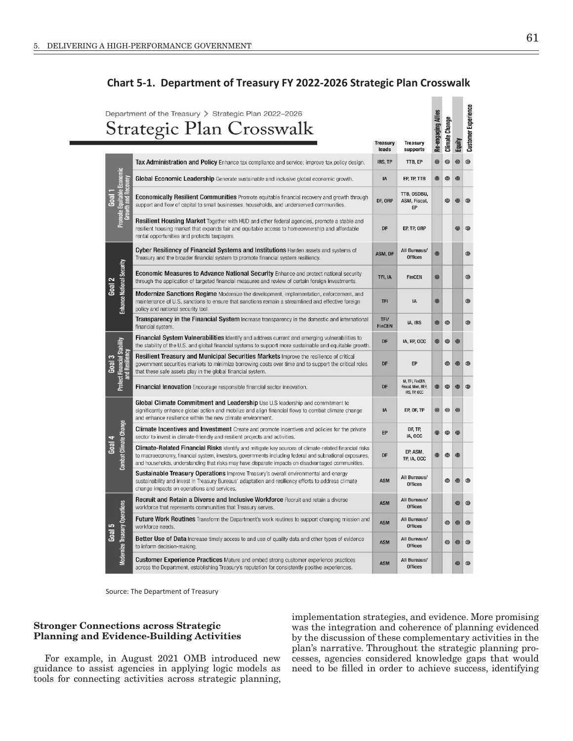# **Chart 5-1. Department of Treasury FY 2022-2026 Strategic Plan Crosswalk**

| Department of the Treasury > Strategic Plan 2022-2026<br>Strategic Plan Crosswalk |                                                           |                                                                                                                                                                                                                                                                                                                            |                          |                                                        |                    | Climate Change |                | <b>Customer Experience</b> |
|-----------------------------------------------------------------------------------|-----------------------------------------------------------|----------------------------------------------------------------------------------------------------------------------------------------------------------------------------------------------------------------------------------------------------------------------------------------------------------------------------|--------------------------|--------------------------------------------------------|--------------------|----------------|----------------|----------------------------|
|                                                                                   |                                                           |                                                                                                                                                                                                                                                                                                                            | <b>Treasury</b><br>leads | Treasury<br>supports                                   | Re-engaging Allies |                | Equity         |                            |
|                                                                                   | mote Equitable Economic<br>Growth and Recovery<br>Promote | Tax Administration and Policy Enhance tax compliance and service; improve tax policy design.                                                                                                                                                                                                                               | IRS, TP                  | TTB, EP                                                | 0                  | $^{\circ}$     | ◎              | $\circledcirc$             |
| Goal 1                                                                            |                                                           | Global Economic Leadership Generate sustainable and inclusive global economic growth.                                                                                                                                                                                                                                      | IA                       | EP, TP, TTB                                            | <u>ම</u>           | ◉              | $^{\circ}$     |                            |
|                                                                                   |                                                           | Economically Resilient Communities Promote equitable financial recovery and growth through<br>support and flow of capital to small businesses, households, and underserved communities.                                                                                                                                    | DF, ORP                  | TTB, OSDBU,<br>ASM, Fiscal,<br>EP                      |                    | ◉              | $^{\circledR}$ | $^{\circ}$                 |
|                                                                                   |                                                           | Resilient Housing Market Together with HUD and other federal agencies, promote a stable and<br>resilient housing market that expands fair and equitable access to homeownership and affordable<br>rental opportunities and protects taxpayers.                                                                             | DF                       | EP, TP, ORP                                            |                    |                | ◎              | 0                          |
|                                                                                   | <b>Enhance National Security</b>                          | Cyber Resiliency of Financial Systems and Institutions Harden assets and systems of<br>Treasury and the broader financial system to promote financial system resiliency.                                                                                                                                                   | ASM, DF                  | All Bureaus/<br><b>Offices</b>                         | $^{\circledR}$     |                |                | $\circledcirc$             |
| Goal 2                                                                            |                                                           | <b>Economic Measures to Advance National Security</b> Enhance and protect national security<br>through the application of targeted financial measures and review of certain foreign investments.                                                                                                                           | TFI, IA                  | <b>FinCEN</b>                                          | 0                  |                |                | $\circledcirc$             |
|                                                                                   |                                                           | <b>Modernize Sanctions Regime</b> Modernize the development, implementation, enforcement, and<br>maintenance of U.S. sanctions to ensure that sanctions remain a streamlined and effective foreign<br>policy and national security tool.                                                                                   | <b>TFI</b>               | IA                                                     | 0                  |                |                | $^{\circ}$                 |
|                                                                                   |                                                           | Transparency in the Financial System Increase transparency in the domestic and international<br>financial system.                                                                                                                                                                                                          | TFI/<br><b>FinCEN</b>    | IA, IRS                                                | <b>@</b>           | ◎              |                | ◎                          |
|                                                                                   | Protect Financial Stability<br>and Resiliency             | <b>Financial System Vulnerabilities</b> Identify and address current and emerging vulnerabilities to<br>the stability of the U.S. and global financial systems to support more sustainable and equitable growth.                                                                                                           | DF                       | IA, EP, OCC                                            | ◎                  | ◉              | $^{\circ}$     |                            |
| Goal 3                                                                            |                                                           | <b>Resilient Treasury and Municipal Securities Markets</b> Improve the resilience of critical<br>government securities markets to minimize borrowing costs over time and to support the critical roles<br>that these safe assets play in the global financial system.                                                      | DF                       | EP                                                     |                    | ◉              | $\circledcirc$ | ◎                          |
|                                                                                   |                                                           | Financial Innovation Encourage responsible financial sector innovation.                                                                                                                                                                                                                                                    | DF                       | IA, TFI, FinCEN,<br>Fiscal, Mint, BEP,<br>IRS, TP, OCC | ◎                  | ◎              | $\circledcirc$ | ◎                          |
|                                                                                   | <b>Combat Climate Change</b>                              | Global Climate Commitment and Leadership Use U.S leadership and commitment to<br>significantly enhance global action and mobilize and align financial flows to combat climate change<br>and enhance resilience within the new climate environment.                                                                         | IA                       | EP, DF, TP                                             | 0                  | ◉              | $^{\circ}$     |                            |
|                                                                                   |                                                           | <b>Climate Incentives and Investment</b> Create and promote incentives and policies for the private<br>sector to invest in climate-friendly and resilient projects and activities.                                                                                                                                         | EP                       | DF, TP,<br>IA, OCC                                     | 0                  | $^{\circ}$     | $^{\circ}$     |                            |
| Goal 4                                                                            |                                                           | <b>Climate-Related Financial Risks</b> Identify and mitigate key sources of climate-related financial risks<br>to macroeconomy, financial system, investors, governments including federal and subnational exposures,<br>and households, understanding that risks may have disparate impacts on disadvantaged communities. | DF                       | EP, ASM,<br>TP, IA, OCC                                | <b>ම</b>           | ◉              | $^{\circ}$     |                            |
|                                                                                   |                                                           | <b>Sustainable Treasury Operations</b> Improve Treasury's overall environmental and energy<br>sustainability and invest in Treasury Bureaus' adaptation and resiliency efforts to address climate<br>change impacts on operations and services.                                                                            | <b>ASM</b>               | All Bureaus/<br><b>Offices</b>                         |                    | ◉              | $\circledcirc$ | $\circledcirc$             |
|                                                                                   | <b>Modernize Treasury Operations</b>                      | Recruit and Retain a Diverse and Inclusive Workforce Recruit and retain a diverse<br>workforce that represents communities that Treasury serves.                                                                                                                                                                           | <b>ASM</b>               | All Bureaus/<br><b>Offices</b>                         |                    |                | $\circledcirc$ | $\circledcirc$             |
|                                                                                   |                                                           | Future Work Routines Transform the Department's work routines to support changing mission and<br>workforce needs.                                                                                                                                                                                                          | <b>ASM</b>               | All Bureaus/<br>Offices                                |                    | ◉              | $\circledcirc$ | $\circledcirc$             |
| Goal 5                                                                            |                                                           | Better Use of Data Increase timely access to and use of quality data and other types of evidence<br>to inform decision-making.                                                                                                                                                                                             | <b>ASM</b>               | All Bureaus/<br><b>Offices</b>                         |                    | ◎              | $^{\circ}$     | ◎                          |
|                                                                                   |                                                           | <b>Customer Experience Practices</b> Mature and embed strong customer experience practices<br>across the Department, establishing Treasury's reputation for consistently positive experiences.                                                                                                                             | <b>ASM</b>               | All Bureaus/<br>Offices                                |                    |                | $\circledcirc$ | ◎                          |

Source: The Department of Treasury

## Stronger Connections across Strategic Planning and Evidence-Building Activities

For example, in August 2021 OMB introduced new guidance to assist agencies in applying logic models as tools for connecting activities across strategic planning, implementation strategies, and evidence. More promising was the integration and coherence of planning evidenced by the discussion of these complementary activities in the plan's narrative. Throughout the strategic planning processes, agencies considered knowledge gaps that would need to be filled in order to achieve success, identifying

**Contract** 

 $\sim$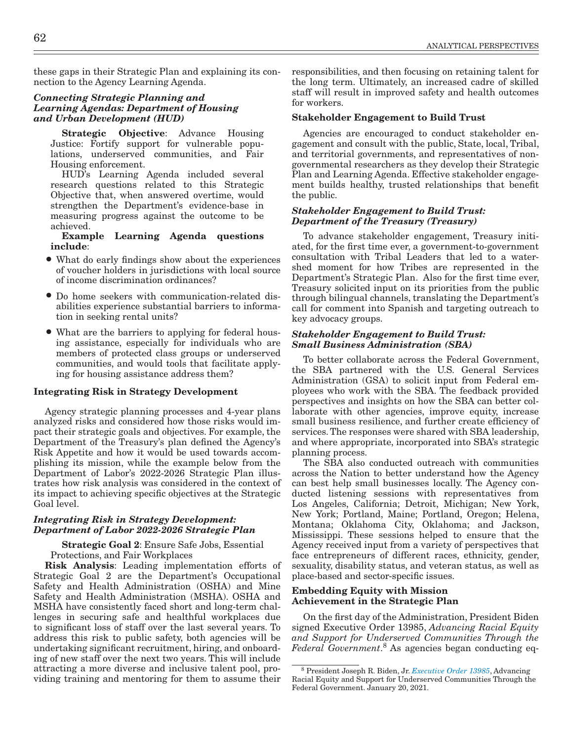these gaps in their Strategic Plan and explaining its connection to the Agency Learning Agenda.

## *Connecting Strategic Planning and Learning Agendas: Department of Housing and Urban Development (HUD)*

Strategic Objective: Advance Housing Justice: Fortify support for vulnerable populations, underserved communities, and Fair Housing enforcement.

HUD's Learning Agenda included several research questions related to this Strategic Objective that, when answered overtime, would strengthen the Department's evidence-base in measuring progress against the outcome to be achieved.

Example Learning Agenda questions include:

- What do early findings show about the experiences of voucher holders in jurisdictions with local source of income discrimination ordinances?
- Do home seekers with communication-related disabilities experience substantial barriers to information in seeking rental units?
- What are the barriers to applying for federal housing assistance, especially for individuals who are members of protected class groups or underserved communities, and would tools that facilitate applying for housing assistance address them?

## Integrating Risk in Strategy Development

Agency strategic planning processes and 4-year plans analyzed risks and considered how those risks would impact their strategic goals and objectives. For example, the Department of the Treasury's plan defined the Agency's Risk Appetite and how it would be used towards accomplishing its mission, while the example below from the Department of Labor's 2022-2026 Strategic Plan illustrates how risk analysis was considered in the context of its impact to achieving specific objectives at the Strategic Goal level.

## *Integrating Risk in Strategy Development: Department of Labor 2022-2026 Strategic Plan*

Strategic Goal 2: Ensure Safe Jobs, Essential Protections, and Fair Workplaces

Risk Analysis: Leading implementation efforts of Strategic Goal 2 are the Department's Occupational Safety and Health Administration (OSHA) and Mine Safety and Health Administration (MSHA). OSHA and MSHA have consistently faced short and long-term challenges in securing safe and healthful workplaces due to significant loss of staff over the last several years. To address this risk to public safety, both agencies will be undertaking significant recruitment, hiring, and onboarding of new staff over the next two years. This will include attracting a more diverse and inclusive talent pool, providing training and mentoring for them to assume their responsibilities, and then focusing on retaining talent for the long term. Ultimately, an increased cadre of skilled staff will result in improved safety and health outcomes for workers.

## Stakeholder Engagement to Build Trust

Agencies are encouraged to conduct stakeholder engagement and consult with the public, State, local, Tribal, and territorial governments, and representatives of nongovernmental researchers as they develop their Strategic Plan and Learning Agenda. Effective stakeholder engagement builds healthy, trusted relationships that benefit the public.

## *Stakeholder Engagement to Build Trust: Department of the Treasury (Treasury)*

To advance stakeholder engagement, Treasury initiated, for the first time ever, a government-to-government consultation with Tribal Leaders that led to a watershed moment for how Tribes are represented in the Department's Strategic Plan. Also for the first time ever, Treasury solicited input on its priorities from the public through bilingual channels, translating the Department's call for comment into Spanish and targeting outreach to key advocacy groups.

## *Stakeholder Engagement to Build Trust: Small Business Administration (SBA)*

To better collaborate across the Federal Government, the SBA partnered with the U.S. General Services Administration (GSA) to solicit input from Federal employees who work with the SBA. The feedback provided perspectives and insights on how the SBA can better collaborate with other agencies, improve equity, increase small business resilience, and further create efficiency of services. The responses were shared with SBA leadership, and where appropriate, incorporated into SBA's strategic planning process.

The SBA also conducted outreach with communities across the Nation to better understand how the Agency can best help small businesses locally. The Agency conducted listening sessions with representatives from Los Angeles, California; Detroit, Michigan; New York, New York; Portland, Maine; Portland, Oregon; Helena, Montana; Oklahoma City, Oklahoma; and Jackson, Mississippi. These sessions helped to ensure that the Agency received input from a variety of perspectives that face entrepreneurs of different races, ethnicity, gender, sexuality, disability status, and veteran status, as well as place-based and sector-specific issues.

## Embedding Equity with Mission Achievement in the Strategic Plan

On the first day of the Administration, President Biden signed Executive Order 13985, *Advancing Racial Equity and Support for Underserved Communities Through the Federal Government*. 8 As agencies began conducting eq-

<sup>8</sup> President Joseph R. Biden, Jr. *[Executive Order 13985](https://www.whitehouse.gov/briefing-room/presidential-actions/2021/01/20/executive-order-advancing-racial-equity-and-support-for-underserved-communities-through-the-federal-government/)*, Advancing Racial Equity and Support for Underserved Communities Through the Federal Government. January 20, 2021.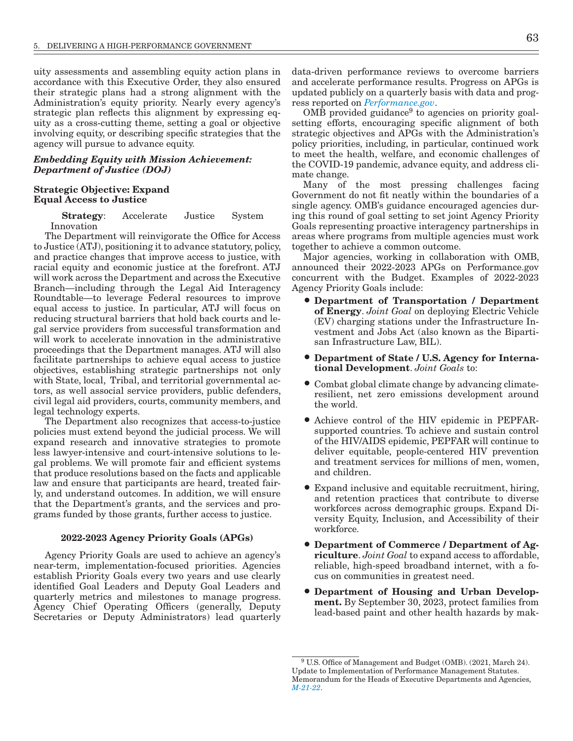uity assessments and assembling equity action plans in accordance with this Executive Order, they also ensured their strategic plans had a strong alignment with the Administration's equity priority. Nearly every agency's strategic plan reflects this alignment by expressing equity as a cross-cutting theme, setting a goal or objective involving equity, or describing specific strategies that the agency will pursue to advance equity.

## *Embedding Equity with Mission Achievement: Department of Justice (DOJ)*

## Strategic Objective: Expand Equal Access to Justice

Strategy: Accelerate Justice System Innovation

The Department will reinvigorate the Office for Access to Justice (ATJ), positioning it to advance statutory, policy, and practice changes that improve access to justice, with racial equity and economic justice at the forefront. ATJ will work across the Department and across the Executive Branch—including through the Legal Aid Interagency Roundtable—to leverage Federal resources to improve equal access to justice. In particular, ATJ will focus on reducing structural barriers that hold back courts and legal service providers from successful transformation and will work to accelerate innovation in the administrative proceedings that the Department manages. ATJ will also facilitate partnerships to achieve equal access to justice objectives, establishing strategic partnerships not only with State, local, Tribal, and territorial governmental actors, as well associal service providers, public defenders, civil legal aid providers, courts, community members, and legal technology experts.

The Department also recognizes that access-to-justice policies must extend beyond the judicial process. We will expand research and innovative strategies to promote less lawyer-intensive and court-intensive solutions to legal problems. We will promote fair and efficient systems that produce resolutions based on the facts and applicable law and ensure that participants are heard, treated fairly, and understand outcomes. In addition, we will ensure that the Department's grants, and the services and programs funded by those grants, further access to justice.

#### 2022-2023 Agency Priority Goals (APGs)

Agency Priority Goals are used to achieve an agency's near-term, implementation-focused priorities. Agencies establish Priority Goals every two years and use clearly identified Goal Leaders and Deputy Goal Leaders and quarterly metrics and milestones to manage progress. Agency Chief Operating Officers (generally, Deputy Secretaries or Deputy Administrators) lead quarterly

data-driven performance reviews to overcome barriers and accelerate performance results. Progress on APGs is updated publicly on a quarterly basis with data and progress reported on *[Performance.gov](http://www.performance.gov/)*.

 $OMB$  provided guidance<sup>9</sup> to agencies on priority goalsetting efforts, encouraging specific alignment of both strategic objectives and APGs with the Administration's policy priorities, including, in particular, continued work to meet the health, welfare, and economic challenges of the COVID-19 pandemic, advance equity, and address climate change.

Many of the most pressing challenges facing Government do not fit neatly within the boundaries of a single agency. OMB's guidance encouraged agencies during this round of goal setting to set joint Agency Priority Goals representing proactive interagency partnerships in areas where programs from multiple agencies must work together to achieve a common outcome.

Major agencies, working in collaboration with OMB, announced their 2022-2023 APGs on Performance.gov concurrent with the Budget. Examples of 2022-2023 Agency Priority Goals include:

- Department of Transportation / Department of Energy. *Joint Goal* on deploying Electric Vehicle (EV) charging stations under the Infrastructure Investment and Jobs Act (also known as the Bipartisan Infrastructure Law, BIL).
- Department of State / U.S. Agency for International Development. *Joint Goals* to:
- Combat global climate change by advancing climateresilient, net zero emissions development around the world.
- Achieve control of the HIV epidemic in PEPFARsupported countries. To achieve and sustain control of the HIV/AIDS epidemic, PEPFAR will continue to deliver equitable, people-centered HIV prevention and treatment services for millions of men, women, and children.
- Expand inclusive and equitable recruitment, hiring, and retention practices that contribute to diverse workforces across demographic groups. Expand Diversity Equity, Inclusion, and Accessibility of their workforce.
- Department of Commerce / Department of Agriculture. *Joint Goal* to expand access to affordable, reliable, high-speed broadband internet, with a focus on communities in greatest need.
- Department of Housing and Urban Development. By September 30, 2023, protect families from lead-based paint and other health hazards by mak-

<sup>9</sup> U.S. Office of Management and Budget (OMB). (2021, March 24). Update to Implementation of Performance Management Statutes. Memorandum for the Heads of Executive Departments and Agencies, *[M-21-22](https://www.whitehouse.gov/wp-content/uploads/2021/03/M-21-22.pdf)*.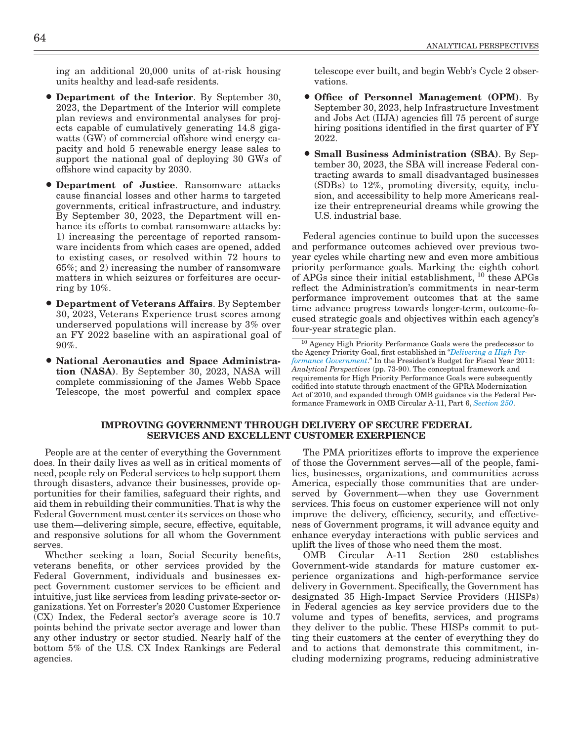ing an additional 20,000 units of at-risk housing units healthy and lead-safe residents.

- Department of the Interior. By September 30, 2023, the Department of the Interior will complete plan reviews and environmental analyses for projects capable of cumulatively generating 14.8 gigawatts (GW) of commercial offshore wind energy capacity and hold 5 renewable energy lease sales to support the national goal of deploying 30 GWs of offshore wind capacity by 2030.
- Department of Justice. Ransomware attacks cause financial losses and other harms to targeted governments, critical infrastructure, and industry. By September 30, 2023, the Department will enhance its efforts to combat ransomware attacks by: 1) increasing the percentage of reported ransomware incidents from which cases are opened, added to existing cases, or resolved within 72 hours to 65%; and 2) increasing the number of ransomware matters in which seizures or forfeitures are occurring by 10%.
- Department of Veterans Affairs. By September 30, 2023, Veterans Experience trust scores among underserved populations will increase by 3% over an FY 2022 baseline with an aspirational goal of 90%.
- National Aeronautics and Space Administration (NASA). By September 30, 2023, NASA will complete commissioning of the James Webb Space Telescope, the most powerful and complex space

telescope ever built, and begin Webb's Cycle 2 observations.

- Office of Personnel Management (OPM). By September 30, 2023, help Infrastructure Investment and Jobs Act (IIJA) agencies fill 75 percent of surge hiring positions identified in the first quarter of FY 2022.
- Small Business Administration (SBA). By September 30, 2023, the SBA will increase Federal contracting awards to small disadvantaged businesses (SDBs) to 12%, promoting diversity, equity, inclusion, and accessibility to help more Americans realize their entrepreneurial dreams while growing the U.S. industrial base.

Federal agencies continue to build upon the successes and performance outcomes achieved over previous twoyear cycles while charting new and even more ambitious priority performance goals. Marking the eighth cohort of APGs since their initial establishment, 10 these APGs reflect the Administration's commitments in near-term performance improvement outcomes that at the same time advance progress towards longer-term, outcome-focused strategic goals and objectives within each agency's four-year strategic plan.

<sup>10</sup> Agency High Priority Performance Goals were the predecessor to the Agency Priority Goal, first established in "*[Delivering a High Per](https://www.govinfo.gov/content/pkg/BUDGET-2011-PER/pdf/BUDGET-2011-PER.pdf#page=87)[formance Government](https://www.govinfo.gov/content/pkg/BUDGET-2011-PER/pdf/BUDGET-2011-PER.pdf#page=87)*." In the President's Budget for Fiscal Year 2011: *Analytical Perspectives* (pp. 73-90). The conceptual framework and requirements for High Priority Performance Goals were subsequently codified into statute through enactment of the GPRA Modernization Act of 2010, and expanded through OMB guidance via the Federal Performance Framework in OMB Circular A-11, Part 6, *[Section 250](https://www.whitehouse.gov/wp-content/uploads/2018/06/s250.pdf)*.

### IMPROVING GOVERNMENT THROUGH DELIVERY OF SECURE FEDERAL SERVICES AND EXCELLENT CUSTOMER EXERPIENCE

People are at the center of everything the Government does. In their daily lives as well as in critical moments of need, people rely on Federal services to help support them through disasters, advance their businesses, provide opportunities for their families, safeguard their rights, and aid them in rebuilding their communities. That is why the Federal Government must center its services on those who use them—delivering simple, secure, effective, equitable, and responsive solutions for all whom the Government serves.

Whether seeking a loan, Social Security benefits, veterans benefits, or other services provided by the Federal Government, individuals and businesses expect Government customer services to be efficient and intuitive, just like services from leading private-sector organizations. Yet on Forrester's 2020 Customer Experience (CX) Index, the Federal sector's average score is 10.7 points behind the private sector average and lower than any other industry or sector studied. Nearly half of the bottom 5% of the U.S. CX Index Rankings are Federal agencies.

The PMA prioritizes efforts to improve the experience of those the Government serves—all of the people, families, businesses, organizations, and communities across America, especially those communities that are underserved by Government—when they use Government services. This focus on customer experience will not only improve the delivery, efficiency, security, and effectiveness of Government programs, it will advance equity and enhance everyday interactions with public services and uplift the lives of those who need them the most.

OMB Circular A-11 Section 280 establishes Government-wide standards for mature customer experience organizations and high-performance service delivery in Government. Specifically, the Government has designated 35 High-Impact Service Providers (HISPs) in Federal agencies as key service providers due to the volume and types of benefits, services, and programs they deliver to the public. These HISPs commit to putting their customers at the center of everything they do and to actions that demonstrate this commitment, including modernizing programs, reducing administrative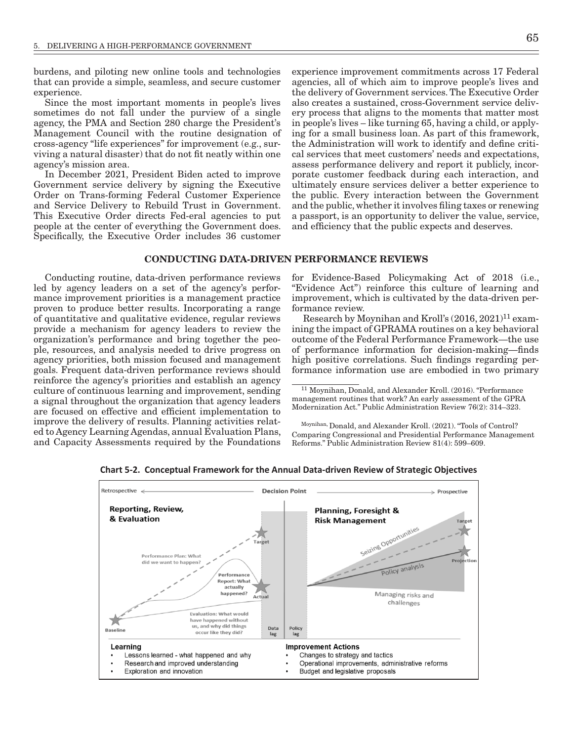burdens, and piloting new online tools and technologies that can provide a simple, seamless, and secure customer experience.

Since the most important moments in people's lives sometimes do not fall under the purview of a single agency, the PMA and Section 280 charge the President's Management Council with the routine designation of cross-agency "life experiences" for improvement (e.g., surviving a natural disaster) that do not fit neatly within one agency's mission area.

In December 2021, President Biden acted to improve Government service delivery by signing the Executive Order on Trans-forming Federal Customer Experience and Service Delivery to Rebuild Trust in Government. This Executive Order directs Fed-eral agencies to put people at the center of everything the Government does. Specifically, the Executive Order includes 36 customer experience improvement commitments across 17 Federal agencies, all of which aim to improve people's lives and the delivery of Government services. The Executive Order also creates a sustained, cross-Government service delivery process that aligns to the moments that matter most in people's lives – like turning 65, having a child, or applying for a small business loan. As part of this framework, the Administration will work to identify and define critical services that meet customers' needs and expectations, assess performance delivery and report it publicly, incorporate customer feedback during each interaction, and ultimately ensure services deliver a better experience to the public. Every interaction between the Government and the public, whether it involves filing taxes or renewing a passport, is an opportunity to deliver the value, service, and efficiency that the public expects and deserves.

#### CONDUCTING DATA-DRIVEN PERFORMANCE REVIEWS

Conducting routine, data-driven performance reviews led by agency leaders on a set of the agency's performance improvement priorities is a management practice proven to produce better results. Incorporating a range of quantitative and qualitative evidence, regular reviews provide a mechanism for agency leaders to review the organization's performance and bring together the people, resources, and analysis needed to drive progress on agency priorities, both mission focused and management goals. Frequent data-driven performance reviews should reinforce the agency's priorities and establish an agency culture of continuous learning and improvement, sending a signal throughout the organization that agency leaders are focused on effective and efficient implementation to improve the delivery of results. Planning activities related to Agency Learning Agendas, annual Evaluation Plans, and Capacity Assessments required by the Foundations

for Evidence-Based Policymaking Act of 2018 (i.e., "Evidence Act") reinforce this culture of learning and improvement, which is cultivated by the data-driven performance review.

Research by Moynihan and Kroll's  $(2016, 2021)^{11}$  examining the impact of GPRAMA routines on a key behavioral outcome of the Federal Performance Framework—the use of performance information for decision-making—finds high positive correlations. Such findings regarding performance information use are embodied in two primary

Moynihan, Donald, and Alexander Kroll. (2021). "Tools of Control? Comparing Congressional and Presidential Performance Management Reforms." Public Administration Review 81(4): 599–609.



**Chart 5-2. Conceptual Framework for the Annual Data-driven Review of Strategic Objectives**

<sup>11</sup> Moynihan, Donald, and Alexander Kroll. (2016). "Performance management routines that work? An early assessment of the GPRA Modernization Act." Public Administration Review 76(2): 314–323.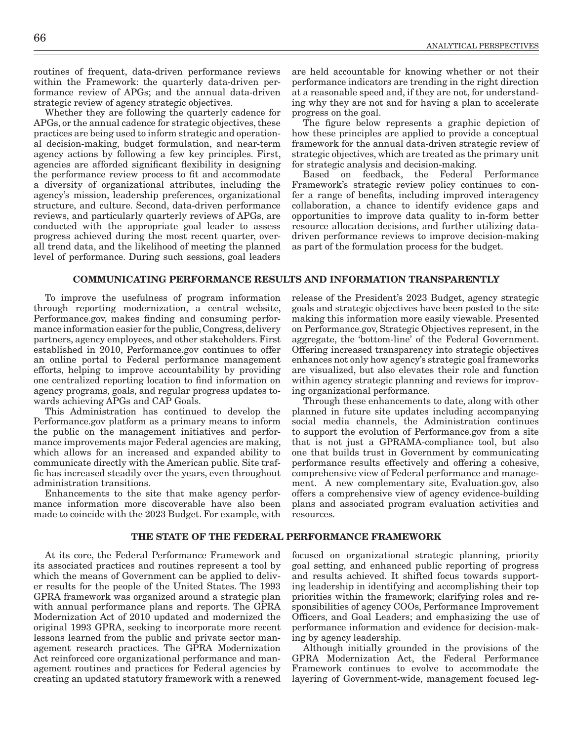routines of frequent, data-driven performance reviews within the Framework: the quarterly data-driven performance review of APGs; and the annual data-driven strategic review of agency strategic objectives.

Whether they are following the quarterly cadence for APGs, or the annual cadence for strategic objectives, these practices are being used to inform strategic and operational decision-making, budget formulation, and near-term agency actions by following a few key principles. First, agencies are afforded significant flexibility in designing the performance review process to fit and accommodate a diversity of organizational attributes, including the agency's mission, leadership preferences, organizational structure, and culture. Second, data-driven performance reviews, and particularly quarterly reviews of APGs, are conducted with the appropriate goal leader to assess progress achieved during the most recent quarter, overall trend data, and the likelihood of meeting the planned level of performance. During such sessions, goal leaders

are held accountable for knowing whether or not their performance indicators are trending in the right direction at a reasonable speed and, if they are not, for understanding why they are not and for having a plan to accelerate progress on the goal.

The figure below represents a graphic depiction of how these principles are applied to provide a conceptual framework for the annual data-driven strategic review of strategic objectives, which are treated as the primary unit for strategic analysis and decision-making.

Based on feedback, the Federal Performance Framework's strategic review policy continues to confer a range of benefits, including improved interagency collaboration, a chance to identify evidence gaps and opportunities to improve data quality to in-form better resource allocation decisions, and further utilizing datadriven performance reviews to improve decision-making as part of the formulation process for the budget.

## COMMUNICATING PERFORMANCE RESULTS AND INFORMATION TRANSPARENTLY

To improve the usefulness of program information through reporting modernization, a central website, Performance.gov, makes finding and consuming performance information easier for the public, Congress, delivery partners, agency employees, and other stakeholders. First established in 2010, Performance.gov continues to offer an online portal to Federal performance management efforts, helping to improve accountability by providing one centralized reporting location to find information on agency programs, goals, and regular progress updates towards achieving APGs and CAP Goals.

This Administration has continued to develop the Performance.gov platform as a primary means to inform the public on the management initiatives and performance improvements major Federal agencies are making, which allows for an increased and expanded ability to communicate directly with the American public. Site traffic has increased steadily over the years, even throughout administration transitions.

Enhancements to the site that make agency performance information more discoverable have also been made to coincide with the 2023 Budget. For example, with goals and strategic objectives have been posted to the site making this information more easily viewable. Presented on Performance.gov, Strategic Objectives represent, in the aggregate, the 'bottom-line' of the Federal Government. Offering increased transparency into strategic objectives enhances not only how agency's strategic goal frameworks are visualized, but also elevates their role and function within agency strategic planning and reviews for improving organizational performance.

release of the President's 2023 Budget, agency strategic

Through these enhancements to date, along with other planned in future site updates including accompanying social media channels, the Administration continues to support the evolution of Performance.gov from a site that is not just a GPRAMA-compliance tool, but also one that builds trust in Government by communicating performance results effectively and offering a cohesive, comprehensive view of Federal performance and management. A new complementary site, Evaluation.gov, also offers a comprehensive view of agency evidence-building plans and associated program evaluation activities and resources.

## THE STATE OF THE FEDERAL PERFORMANCE FRAMEWORK

At its core, the Federal Performance Framework and its associated practices and routines represent a tool by which the means of Government can be applied to deliver results for the people of the United States. The 1993 GPRA framework was organized around a strategic plan with annual performance plans and reports. The GPRA Modernization Act of 2010 updated and modernized the original 1993 GPRA, seeking to incorporate more recent lessons learned from the public and private sector management research practices. The GPRA Modernization Act reinforced core organizational performance and management routines and practices for Federal agencies by creating an updated statutory framework with a renewed

focused on organizational strategic planning, priority goal setting, and enhanced public reporting of progress and results achieved. It shifted focus towards supporting leadership in identifying and accomplishing their top priorities within the framework; clarifying roles and responsibilities of agency COOs, Performance Improvement Officers, and Goal Leaders; and emphasizing the use of performance information and evidence for decision-making by agency leadership.

Although initially grounded in the provisions of the GPRA Modernization Act, the Federal Performance Framework continues to evolve to accommodate the layering of Government-wide, management focused leg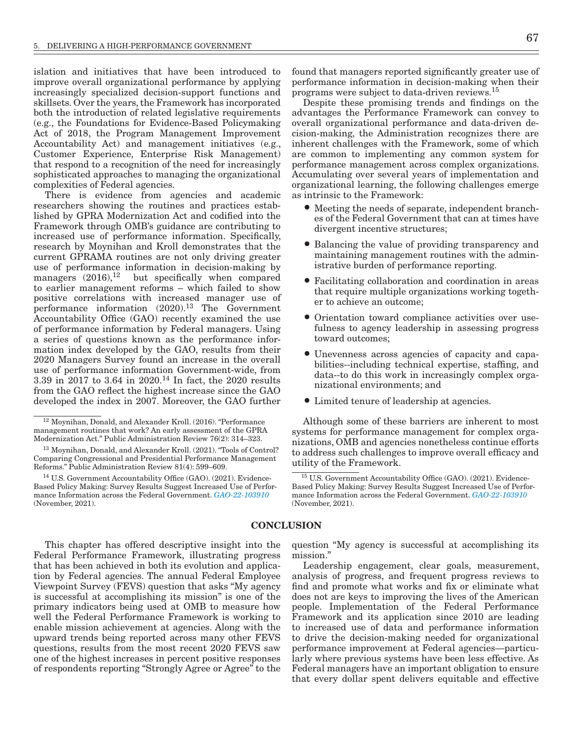islation and initiatives that have been introduced to improve overall organizational performance by applying increasingly specialized decision-support functions and skillsets. Over the years, the Framework has incorporated both the introduction of related legislative requirements (e.g., the Foundations for Evidence-Based Policymaking Act of 2018, the Program Management Improvement Accountability Act) and management initiatives (e.g., Customer Experience, Enterprise Risk Management) that respond to a recognition of the need for increasingly sophisticated approaches to managing the organizational complexities of Federal agencies.

There is evidence from agencies and academic researchers showing the routines and practices established by GPRA Modernization Act and codified into the Framework through OMB's guidance are contributing to increased use of performance information. Specifically, research by Moynihan and Kroll demonstrates that the current GPRAMA routines are not only driving greater use of performance information in decision-making by managers  $(2016)$ ,<sup>12</sup> but specifically when compared to earlier management reforms – which failed to show positive correlations with increased manager use of performance information  $(2020).<sup>13</sup>$  The Government Accountability Office (GAO) recently examined the use of performance information by Federal managers. Using a series of questions known as the performance information index developed by the GAO, results from their 2020 Managers Survey found an increase in the overall use of performance information Government-wide, from 3.39 in 2017 to 3.64 in 2020.14 In fact, the 2020 results from the GAO reflect the highest increase since the GAO developed the index in 2007. Moreover, the GAO further

This chapter has offered descriptive insight into the Federal Performance Framework, illustrating progress that has been achieved in both its evolution and application by Federal agencies. The annual Federal Employee Viewpoint Survey (FEVS) question that asks "My agency is successful at accomplishing its mission" is one of the primary indicators being used at OMB to measure how well the Federal Performance Framework is working to enable mission achievement at agencies. Along with the upward trends being reported across many other FEVS questions, results from the most recent 2020 FEVS saw one of the highest increases in percent positive responses of respondents reporting "Strongly Agree or Agree" to the found that managers reported significantly greater use of performance information in decision-making when their programs were subject to data-driven reviews.15

Despite these promising trends and findings on the advantages the Performance Framework can convey to overall organizational performance and data-driven decision-making, the Administration recognizes there are inherent challenges with the Framework, some of which are common to implementing any common system for performance management across complex organizations. Accumulating over several years of implementation and organizational learning, the following challenges emerge as intrinsic to the Framework:

- Meeting the needs of separate, independent branches of the Federal Government that can at times have divergent incentive structures;
- Balancing the value of providing transparency and maintaining management routines with the administrative burden of performance reporting.
- Facilitating collaboration and coordination in areas that require multiple organizations working together to achieve an outcome;
- Orientation toward compliance activities over usefulness to agency leadership in assessing progress toward outcomes;
- Unevenness across agencies of capacity and capabilities--including technical expertise, staffing, and data--to do this work in increasingly complex organizational environments; and
- Limited tenure of leadership at agencies.

Although some of these barriers are inherent to most systems for performance management for complex organizations, OMB and agencies nonetheless continue efforts to address such challenges to improve overall efficacy and utility of the Framework.

#### **CONCLUSION**

question "My agency is successful at accomplishing its mission."

Leadership engagement, clear goals, measurement, analysis of progress, and frequent progress reviews to find and promote what works and fix or eliminate what does not are keys to improving the lives of the American people. Implementation of the Federal Performance Framework and its application since 2010 are leading to increased use of data and performance information to drive the decision-making needed for organizational performance improvement at Federal agencies—particularly where previous systems have been less effective. As Federal managers have an important obligation to ensure that every dollar spent delivers equitable and effective

<sup>12</sup> Moynihan, Donald, and Alexander Kroll. (2016). "Performance management routines that work? An early assessment of the GPRA Modernization Act." Public Administration Review 76(2): 314–323.

<sup>&</sup>lt;sup>13</sup> Moynihan, Donald, and Alexander Kroll. (2021). "Tools of Control? Comparing Congressional and Presidential Performance Management Reforms." Public Administration Review 81(4): 599–609.

<sup>14</sup> U.S. Government Accountability Office (GAO). (2021). Evidence-Based Policy Making: Survey Results Suggest Increased Use of Performance Information across the Federal Government. *[GAO-22-103910](https://www.gao.gov/assets/gao-22-103910.pdf)* (November, 2021).

<sup>15</sup> U.S. Government Accountability Office (GAO). (2021). Evidence-Based Policy Making: Survey Results Suggest Increased Use of Performance Information across the Federal Government. *[GAO-22-103910](https://www.gao.gov/assets/gao-22-103910.pdf)* (November, 2021).